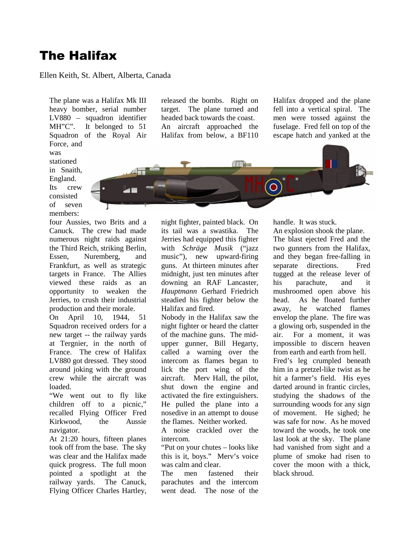# The Halifax

### Ellen Keith, St. Albert, Alberta, Canada

The plane was a Halifax Mk III heavy bomber, serial number LV880 – squadron identifier MH"C". It belonged to 51 Squadron of the Royal Air Force, and

was stationed in Snaith, England. Its crew consisted of seven members:

four Aussies, two Brits and a Canuck. The crew had made numerous night raids against the Third Reich, striking Berlin, Essen, Nuremberg, and Frankfurt, as well as strategic targets in France. The Allies viewed these raids as an opportunity to weaken the Jerries, to crush their industrial production and their morale.

On April 10, 1944, 51 Squadron received orders for a new target -- the railway yards at Tergnier, in the north of France. The crew of Halifax LV880 got dressed. They stood around joking with the ground crew while the aircraft was loaded.

"We went out to fly like children off to a picnic," recalled Flying Officer Fred Kirkwood, the Aussie navigator.

At 21:20 hours, fifteen planes took off from the base. The sky was clear and the Halifax made quick progress. The full moon pointed a spotlight at the railway yards. The Canuck, Flying Officer Charles Hartley, released the bombs. Right on target. The plane turned and headed back towards the coast. An aircraft approached the Halifax from below, a BF110 Halifax dropped and the plane fell into a vertical spiral. The men were tossed against the fuselage. Fred fell on top of the escape hatch and yanked at the



night fighter, painted black. On its tail was a swastika. The Jerries had equipped this fighter with *Schräge Musik* ("jazz music"), new upward-firing guns. At thirteen minutes after midnight, just ten minutes after downing an RAF Lancaster, *Hauptmann* Gerhard Friedrich steadied his fighter below the Halifax and fired.

Nobody in the Halifax saw the night fighter or heard the clatter of the machine guns. The midupper gunner, Bill Hegarty, called a warning over the intercom as flames began to lick the port wing of the aircraft. Merv Hall, the pilot, shut down the engine and activated the fire extinguishers. He pulled the plane into a nosedive in an attempt to douse the flames. Neither worked.

A noise crackled over the intercom.

"Put on your chutes – looks like this is it, boys." Merv's voice was calm and clear.

The men fastened their parachutes and the intercom went dead. The nose of the handle. It was stuck.

An explosion shook the plane. The blast ejected Fred and the two gunners from the Halifax, and they began free-falling in separate directions. Fred tugged at the release lever of his parachute, and it mushroomed open above his head. As he floated further away, he watched flames envelop the plane. The fire was a glowing orb, suspended in the air. For a moment, it was impossible to discern heaven from earth and earth from hell. Fred's leg crumpled beneath him in a pretzel-like twist as he hit a farmer's field. His eyes darted around in frantic circles, studying the shadows of the surrounding woods for any sign of movement. He sighed; he was safe for now. As he moved toward the woods, he took one last look at the sky. The plane had vanished from sight and a plume of smoke had risen to cover the moon with a thick, black shroud.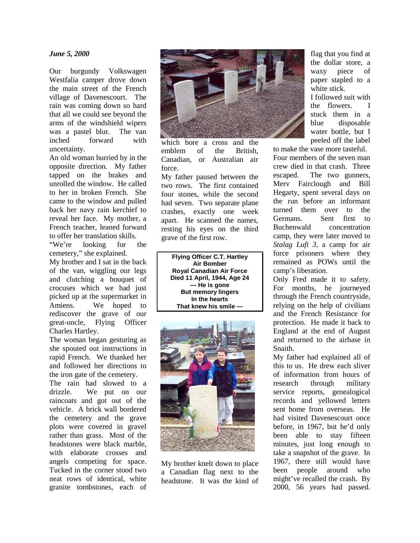#### *June 5, 2000*

Our burgundy Volkswagen Westfalia camper drove down the main street of the French village of Davenescourt. The rain was coming down so hard that all we could see beyond the arms of the windshield wipers was a pastel blur. The van inched forward with uncertainty.

An old woman hurried by in the opposite direction. My father tapped on the brakes and unrolled the window. He called to her in broken French. She came to the window and pulled back her navy rain kerchief to reveal her face. My mother, a French teacher, leaned forward to offer her translation skills.

"We're looking for the cemetery," she explained.

My brother and I sat in the back of the van, wiggling our legs and clutching a bouquet of crocuses which we had just picked up at the supermarket in Amiens. We hoped to rediscover the grave of our great-uncle, Flying Officer Charles Hartley.

The woman began gesturing as she spouted out instructions in rapid French. We thanked her and followed her directions to the iron gate of the cemetery.

The rain had slowed to a drizzle. We put on our raincoats and got out of the vehicle. A brick wall bordered the cemetery and the grave plots were covered in gravel rather than grass. Most of the headstones were black marble, with elaborate crosses and angels competing for space. Tucked in the corner stood two neat rows of identical, white granite tombstones, each of



which bore a cross and the emblem of the British Canadian, or Australian air force.

My father paused between the two rows. The first contained four stones, while the second had seven. Two separate plane crashes, exactly one week apart. He scanned the names, resting his eyes on the third grave of the first row.

**Flying Officer C.T. Hartley Air Bomber Royal Canadian Air Force Died 11 April, 1944, Age 24 — He is gone But memory lingers In the hearts That knew his smile —**



My brother knelt down to place a Canadian flag next to the headstone. It was the kind of flag that you find at the dollar store, a waxy piece of paper stapled to a white stick. I followed suit with the flowers. I stuck them in a blue disposable water bottle, but I

peeled off the label to make the vase more tasteful.

Four members of the seven man crew died in that crash. Three escaped. The two gunners, Merv Fairclough and Bill Hegarty, spent several days on the run before an informant turned them over to the Germans. Sent first to Buchenwald concentration camp, they were later moved to *Stalag Luft 3*, a camp for air force prisoners where they remained as POWs until the camp's liberation.

Only Fred made it to safety. For months, he journeyed through the French countryside, relying on the help of civilians and the French Resistance for protection. He made it back to England at the end of August and returned to the airbase in Snaith.

My father had explained all of this to us. He drew each sliver of information from hours of research through military service reports, genealogical records and yellowed letters sent home from overseas. He had visited Davenescourt once before, in 1967, but he'd only been able to stay fifteen minutes, just long enough to take a snapshot of the grave. In 1967, there still would have been people around who might've recalled the crash. By 2000, 56 years had passed.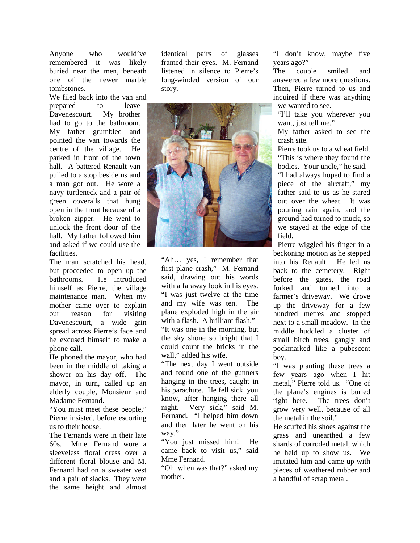Anyone who would've remembered it was likely buried near the men, beneath one of the newer marble tombstones.

We filed back into the van and prepared to leave Davenescourt. My brother had to go to the bathroom. My father grumbled and pointed the van towards the centre of the village. He parked in front of the town hall. A battered Renault van pulled to a stop beside us and a man got out. He wore a navy turtleneck and a pair of green coveralls that hung open in the front because of a broken zipper. He went to unlock the front door of the hall. My father followed him and asked if we could use the facilities.

The man scratched his head, but proceeded to open up the bathrooms. He introduced himself as Pierre, the village maintenance man. When my mother came over to explain our reason for visiting Davenescourt, a wide grin spread across Pierre's face and he excused himself to make a phone call.

He phoned the mayor, who had been in the middle of taking a shower on his day off. The mayor, in turn, called up an elderly couple, Monsieur and Madame Fernand.

"You must meet these people," Pierre insisted, before escorting us to their house.

The Fernands were in their late 60s. Mme. Fernand wore a sleeveless floral dress over a different floral blouse and M. Fernand had on a sweater vest and a pair of slacks. They were the same height and almost

identical pairs of glasses framed their eyes. M. Fernand listened in silence to Pierre's long-winded version of our story.



"Ah… yes, I remember that first plane crash," M. Fernand said, drawing out his words with a faraway look in his eyes. "I was just twelve at the time and my wife was ten. The plane exploded high in the air with a flash. A brilliant flash." "It was one in the morning, but the sky shone so bright that I could count the bricks in the wall," added his wife.

"The next day I went outside and found one of the gunners hanging in the trees, caught in his parachute. He fell sick, you know, after hanging there all night. Very sick," said M. Fernand. "I helped him down and then later he went on his way."

"You just missed him! He came back to visit us," said Mme Fernand.

"Oh, when was that?" asked my mother.

"I don't know, maybe five years ago?"

The couple smiled and answered a few more questions. Then, Pierre turned to us and inquired if there was anything we wanted to see.

"I'll take you wherever you want, just tell me."

My father asked to see the crash site.

Pierre took us to a wheat field. "This is where they found the bodies. Your uncle," he said.

"I had always hoped to find a piece of the aircraft," my father said to us as he stared out over the wheat. It was pouring rain again, and the ground had turned to muck, so we stayed at the edge of the field.

Pierre wiggled his finger in a beckoning motion as he stepped into his Renault. He led us back to the cemetery. Right before the gates, the road forked and turned into a farmer's driveway. We drove up the driveway for a few hundred metres and stopped next to a small meadow. In the middle huddled a cluster of small birch trees, gangly and pockmarked like a pubescent boy.

"I was planting these trees a few years ago when I hit metal," Pierre told us. "One of the plane's engines is buried right here. The trees don't grow very well, because of all the metal in the soil."

He scuffed his shoes against the grass and unearthed a few shards of corroded metal, which he held up to show us. We imitated him and came up with pieces of weathered rubber and a handful of scrap metal.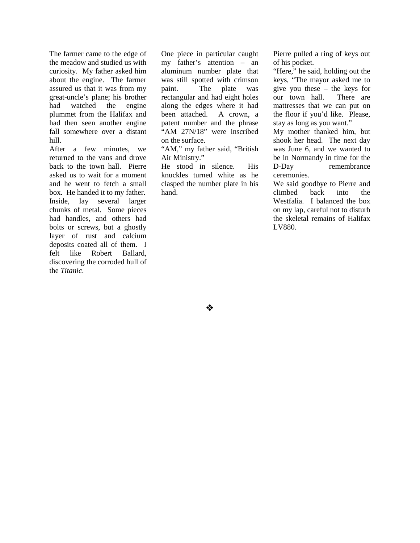The farmer came to the edge of the meadow and studied us with curiosity. My father asked him about the engine. The farmer assured us that it was from my great-uncle's plane; his brother had watched the engine plummet from the Halifax and had then seen another engine fall somewhere over a distant hill.

After a few minutes, we returned to the vans and drove back to the town hall. Pierre asked us to wait for a moment and he went to fetch a small box. He handed it to my father. Inside, lay several larger chunks of metal. Some pieces had handles, and others had bolts or screws, but a ghostly layer of rust and calcium deposits coated all of them. I felt like Robert Ballard, discovering the corroded hull of the *Titanic*.

One piece in particular caught my father's attention – an aluminum number plate that was still spotted with crimson paint. The plate was rectangular and had eight holes along the edges where it had been attached. A crown, a patent number and the phrase "AM 27N/18" were inscribed on the surface.

"AM," my father said, "British Air Ministry."

He stood in silence. His knuckles turned white as he clasped the number plate in his hand.

Pierre pulled a ring of keys out of his pocket.

"Here," he said, holding out the keys, "The mayor asked me to give you these – the keys for our town hall. There are mattresses that we can put on the floor if you'd like. Please, stay as long as you want."

My mother thanked him, but shook her head. The next day was June 6, and we wanted to be in Normandy in time for the D-Day remembrance ceremonies.

We said goodbye to Pierre and climbed back into the Westfalia. I balanced the box on my lap, careful not to disturb the skeletal remains of Halifax LV880.

 $\bm{\cdot}$